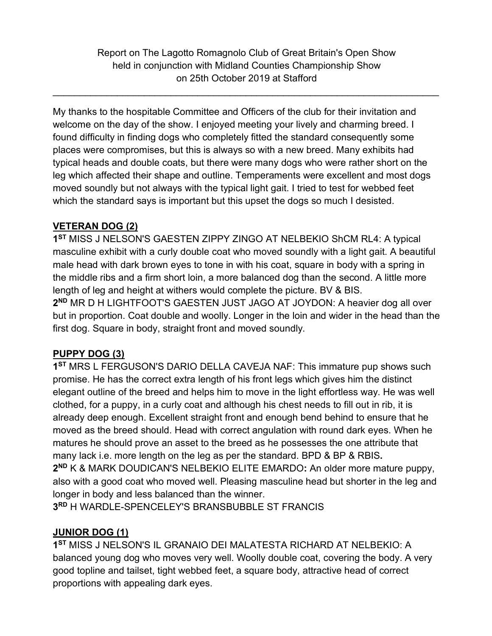Report on The Lagotto Romagnolo Club of Great Britain's Open Show held in conjunction with Midland Counties Championship Show on 25th October 2019 at Stafford

 $\_$  , and the contribution of the contribution of the contribution of the contribution of  $\mathcal{L}_1$ 

My thanks to the hospitable Committee and Officers of the club for their invitation and welcome on the day of the show. I enjoyed meeting your lively and charming breed. I found difficulty in finding dogs who completely fitted the standard consequently some places were compromises, but this is always so with a new breed. Many exhibits had typical heads and double coats, but there were many dogs who were rather short on the leg which affected their shape and outline. Temperaments were excellent and most dogs moved soundly but not always with the typical light gait. I tried to test for webbed feet which the standard says is important but this upset the dogs so much I desisted.

# **VETERAN DOG (2)**

**1ST** MISS J NELSON'S GAESTEN ZIPPY ZINGO AT NELBEKIO ShCM RL4: A typical masculine exhibit with a curly double coat who moved soundly with a light gait. A beautiful male head with dark brown eyes to tone in with his coat, square in body with a spring in the middle ribs and a firm short loin, a more balanced dog than the second. A little more length of leg and height at withers would complete the picture. BV & BIS. **2ND** MR D H LIGHTFOOT'S GAESTEN JUST JAGO AT JOYDON: A heavier dog all over but in proportion. Coat double and woolly. Longer in the loin and wider in the head than the first dog. Square in body, straight front and moved soundly.

# **PUPPY DOG (3)**

**1ST** MRS L FERGUSON'S DARIO DELLA CAVEJA NAF: This immature pup shows such promise. He has the correct extra length of his front legs which gives him the distinct elegant outline of the breed and helps him to move in the light effortless way. He was well clothed, for a puppy, in a curly coat and although his chest needs to fill out in rib, it is already deep enough. Excellent straight front and enough bend behind to ensure that he moved as the breed should. Head with correct angulation with round dark eyes. When he matures he should prove an asset to the breed as he possesses the one attribute that many lack i.e. more length on the leg as per the standard. BPD & BP & RBIS**. 2ND** K & MARK DOUDICAN'S NELBEKIO ELITE EMARDO**:** An older more mature puppy, also with a good coat who moved well. Pleasing masculine head but shorter in the leg and

longer in body and less balanced than the winner.

**3RD** H WARDLE-SPENCELEY'S BRANSBUBBLE ST FRANCIS

# **JUNIOR DOG (1)**

**1ST** MISS J NELSON'S IL GRANAIO DEI MALATESTA RICHARD AT NELBEKIO: A balanced young dog who moves very well. Woolly double coat, covering the body. A very good topline and tailset, tight webbed feet, a square body, attractive head of correct proportions with appealing dark eyes.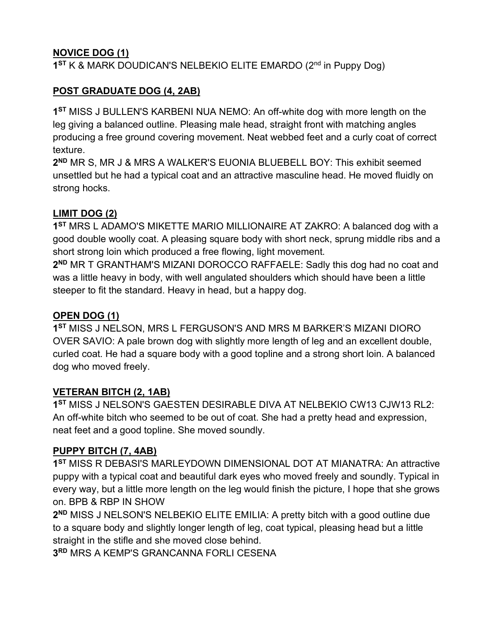# **NOVICE DOG (1)**

**1ST** K & MARK DOUDICAN'S NELBEKIO ELITE EMARDO (2nd in Puppy Dog)

# **POST GRADUATE DOG (4, 2AB)**

**1ST** MISS J BULLEN'S KARBENI NUA NEMO: An off-white dog with more length on the leg giving a balanced outline. Pleasing male head, straight front with matching angles producing a free ground covering movement. Neat webbed feet and a curly coat of correct texture.

**2ND** MR S, MR J & MRS A WALKER'S EUONIA BLUEBELL BOY: This exhibit seemed unsettled but he had a typical coat and an attractive masculine head. He moved fluidly on strong hocks.

### **LIMIT DOG (2)**

**1ST** MRS L ADAMO'S MIKETTE MARIO MILLIONAIRE AT ZAKRO: A balanced dog with a good double woolly coat. A pleasing square body with short neck, sprung middle ribs and a short strong loin which produced a free flowing, light movement.

**2ND** MR T GRANTHAM'S MIZANI DOROCCO RAFFAELE: Sadly this dog had no coat and was a little heavy in body, with well angulated shoulders which should have been a little steeper to fit the standard. Heavy in head, but a happy dog.

### **OPEN DOG (1)**

**1ST** MISS J NELSON, MRS L FERGUSON'S AND MRS M BARKER'S MIZANI DIORO OVER SAVIO: A pale brown dog with slightly more length of leg and an excellent double, curled coat. He had a square body with a good topline and a strong short loin. A balanced dog who moved freely.

#### **VETERAN BITCH (2, 1AB)**

**1ST** MISS J NELSON'S GAESTEN DESIRABLE DIVA AT NELBEKIO CW13 CJW13 RL2: An off-white bitch who seemed to be out of coat. She had a pretty head and expression, neat feet and a good topline. She moved soundly.

# **PUPPY BITCH (7, 4AB)**

**1ST** MISS R DEBASI'S MARLEYDOWN DIMENSIONAL DOT AT MIANATRA: An attractive puppy with a typical coat and beautiful dark eyes who moved freely and soundly. Typical in every way, but a little more length on the leg would finish the picture, I hope that she grows on. BPB & RBP IN SHOW

**2ND** MISS J NELSON'S NELBEKIO ELITE EMILIA: A pretty bitch with a good outline due to a square body and slightly longer length of leg, coat typical, pleasing head but a little straight in the stifle and she moved close behind.

**3RD** MRS A KEMP'S GRANCANNA FORLI CESENA